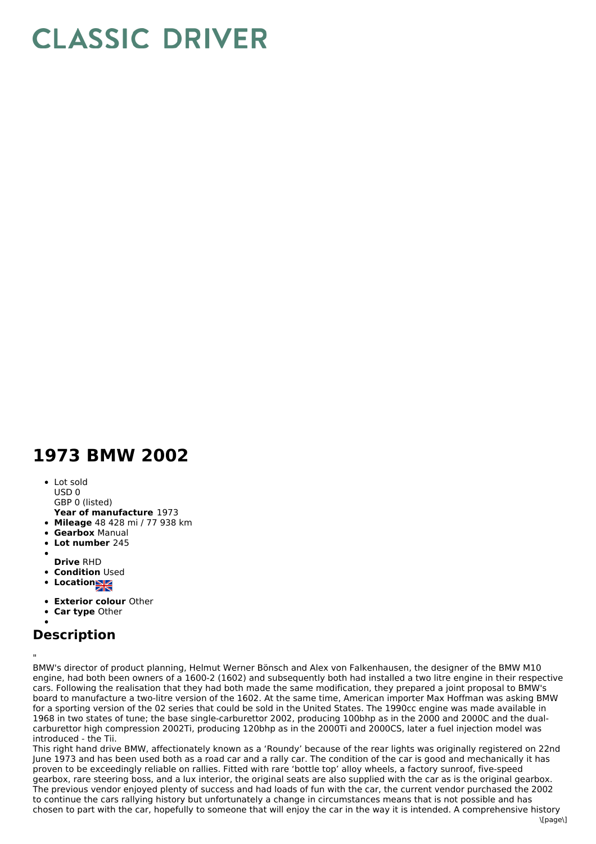## **CLASSIC DRIVER**

## **1973 BMW 2002**

• Lot sold USD 0

GBP 0 (listed)

- **Year of manufacture** 1973
- **Mileage** 48 428 mi / 77 938 km
- **Gearbox** Manual
- **Lot number** 245
- **Drive** RHD
- **Condition** Used
- 
- **Locations**
- **Exterior colour** Other
- **Car type** Other

## **Description**

" BMW's director of product planning, Helmut Werner Bönsch and Alex von Falkenhausen, the designer of the BMW M10 engine, had both been owners of a 1600-2 (1602) and subsequently both had installed a two litre engine in their respective cars. Following the realisation that they had both made the same modification, they prepared a joint proposal to BMW's board to manufacture a two-litre version of the 1602. At the same time, American importer Max Hoffman was asking BMW for a sporting version of the 02 series that could be sold in the United States. The 1990cc engine was made available in 1968 in two states of tune; the base single-carburettor 2002, producing 100bhp as in the 2000 and 2000C and the dualcarburettor high compression 2002Ti, producing 120bhp as in the 2000Ti and 2000CS, later a fuel injection model was introduced - the Tii.

This right hand drive BMW, affectionately known as a 'Roundy' because of the rear lights was originally registered on 22nd June 1973 and has been used both as a road car and a rally car. The condition of the car is good and mechanically it has proven to be exceedingly reliable on rallies. Fitted with rare 'bottle top' alloy wheels, a factory sunroof, five-speed gearbox, rare steering boss, and a lux interior, the original seats are also supplied with the car as is the original gearbox. The previous vendor enjoyed plenty of success and had loads of fun with the car, the current vendor purchased the 2002 to continue the cars rallying history but unfortunately a change in circumstances means that is not possible and has chosen to part with the car, hopefully to someone that will enjoy the car in the way it is intended. A comprehensive history  $\frac{1}{2}$